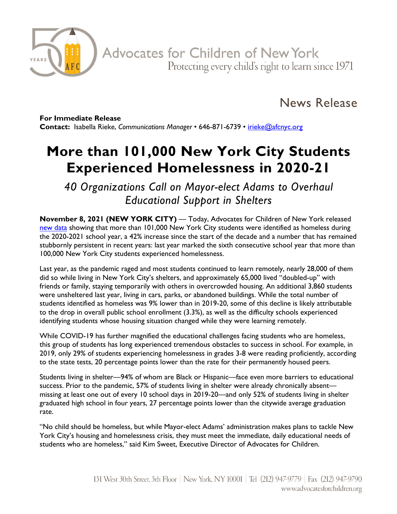

News Release

**For Immediate Release Contact:** Isabella Rieke, *Communications Manager* • 646-871-6739 • [irieke@afcnyc.org](mailto:irieke@afcnyc.org)

## **More than 101,000 New York City Students Experienced Homelessness in 2020-21**

*40 Organizations Call on Mayor-elect Adams to Overhaul Educational Support in Shelters*

**November 8, 2021 (NEW YORK CITY)** — Today, Advocates for Children of New York released [new data](https://advocatesforchildren.org/node/1875) showing that more than 101,000 New York City students were identified as homeless during the 2020-2021 school year, a 42% increase since the start of the decade and a number that has remained stubbornly persistent in recent years: last year marked the sixth consecutive school year that more than 100,000 New York City students experienced homelessness.

Last year, as the pandemic raged and most students continued to learn remotely, nearly 28,000 of them did so while living in New York City's shelters, and approximately 65,000 lived "doubled-up" with friends or family, staying temporarily with others in overcrowded housing. An additional 3,860 students were unsheltered last year, living in cars, parks, or abandoned buildings. While the total number of students identified as homeless was 9% lower than in 2019-20, some of this decline is likely attributable to the drop in overall public school enrollment (3.3%), as well as the difficulty schools experienced identifying students whose housing situation changed while they were learning remotely.

While COVID-19 has further magnified the educational challenges facing students who are homeless, this group of students has long experienced tremendous obstacles to success in school. For example, in 2019, only 29% of students experiencing homelessness in grades 3-8 were reading proficiently, according to the state tests, 20 percentage points lower than the rate for their permanently housed peers.

Students living in shelter—94% of whom are Black or Hispanic—face even more barriers to educational success. Prior to the pandemic, 57% of students living in shelter were already chronically absent missing at least one out of every 10 school days in 2019-20—and only 52% of students living in shelter graduated high school in four years, 27 percentage points lower than the citywide average graduation rate.

"No child should be homeless, but while Mayor-elect Adams' administration makes plans to tackle New York City's housing and homelessness crisis, they must meet the immediate, daily educational needs of students who are homeless," said Kim Sweet, Executive Director of Advocates for Children.